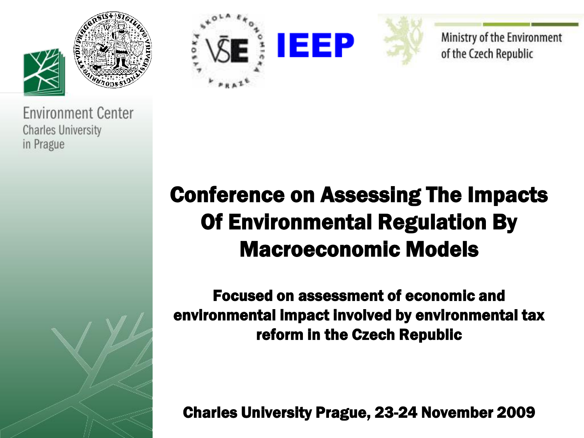





Ministry of the Environment of the Czech Republic

### Conference on Assessing The Impacts Of Environmental Regulation By Macroeconomic Models

Focused on assessment of economic and environmental impact involved by environmental tax reform in the Czech Republic

Charles University Prague, 23-24 November 2009

**Environment Center Charles University** in Prague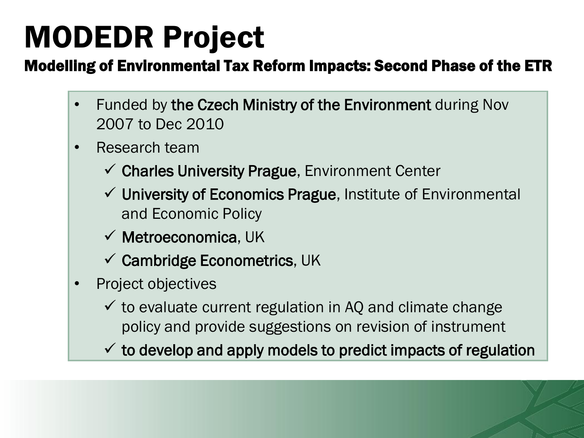# MODEDR Project

#### Modelling of Environmental Tax Reform Impacts: Second Phase of the ETR

- Funded by the Czech Ministry of the Environment during Nov 2007 to Dec 2010
- Research team
	- $\checkmark$  Charles University Prague, Environment Center
	- $\checkmark$  University of Economics Prague, Institute of Environmental and Economic Policy
	- $\checkmark$  Metroeconomica, UK
	- $\checkmark$  Cambridge Econometrics, UK
- Project objectives
	- $\checkmark$  to evaluate current regulation in AQ and climate change policy and provide suggestions on revision of instrument
	- $\checkmark$  to develop and apply models to predict impacts of regulation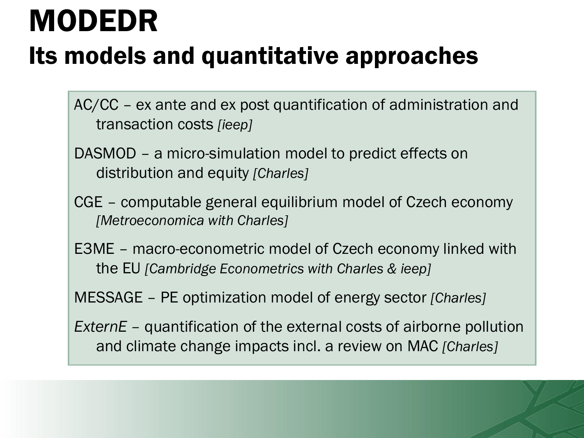# MODEDR

## Its models and quantitative approaches

AC/CC – ex ante and ex post quantification of administration and transaction costs *[ieep]*

- DASMOD a micro-simulation model to predict effects on distribution and equity *[Charles]*
- CGE computable general equilibrium model of Czech economy *[Metroeconomica with Charles]*
- E3ME macro-econometric model of Czech economy linked with the EU *[Cambridge Econometrics with Charles & ieep]*

MESSAGE – PE optimization model of energy sector *[Charles]*

*ExternE –* quantification of the external costs of airborne pollution and climate change impacts incl. a review on MAC *[Charles]*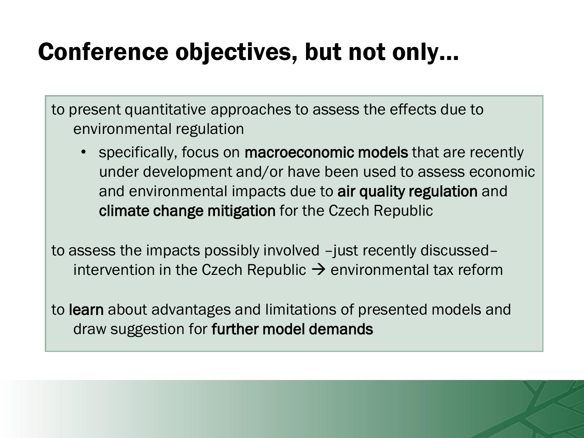### Conference objectives, but not only…

to present quantitative approaches to assess the effects due to environmental regulation

specifically, focus on **macroeconomic models** that are recently under development and/or have been used to assess economic and environmental impacts due to air quality regulation and climate change mitigation for the Czech Republic

to assess the impacts possibly involved –just recently discussed– intervention in the Czech Republic  $\rightarrow$  environmental tax reform

to learn about advantages and limitations of presented models and draw suggestion for further model demands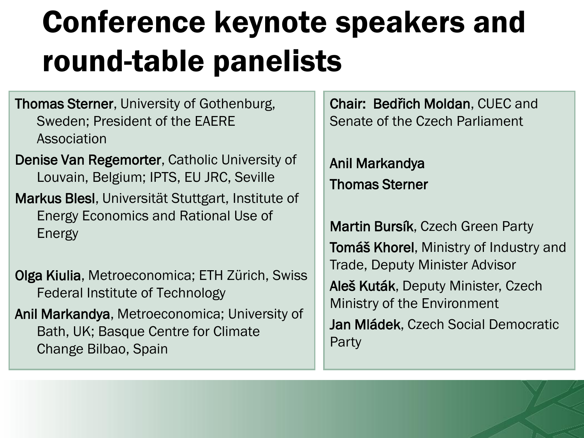# Conference keynote speakers and round-table panelists

Thomas Sterner, University of Gothenburg, Sweden; President of the EAERE Association

Denise Van Regemorter, Catholic University of Louvain, Belgium; IPTS, EU JRC, Seville

Markus Blesl, Universität Stuttgart, Institute of Energy Economics and Rational Use of Energy

Olga Kiulia, Metroeconomica; ETH Zürich, Swiss Federal Institute of Technology

Anil Markandya, Metroeconomica; University of Bath, UK; Basque Centre for Climate Change Bilbao, Spain

Chair: Bedřich Moldan, CUEC and Senate of the Czech Parliament

Anil Markandya Thomas Sterner

Martin Bursík, Czech Green Party Tomáš Khorel, Ministry of Industry and Trade, Deputy Minister Advisor Aleš Kuták, Deputy Minister, Czech Ministry of the Environment Jan Mládek, Czech Social Democratic Party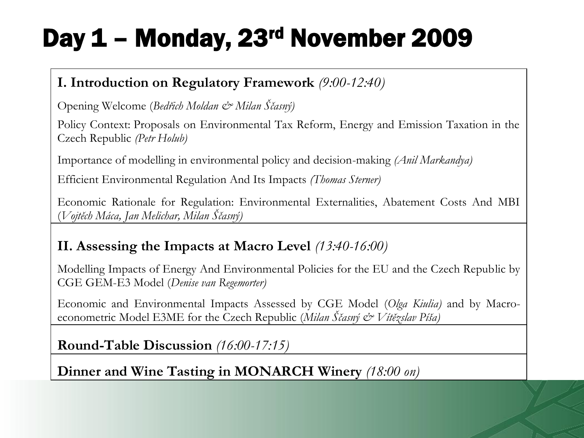## Day 1 – Monday, 23rd November 2009

#### **I. Introduction on Regulatory Framework** *(9:00-12:40)*

Opening Welcome (*Bedřich Moldan & Milan Ščasný)*

Policy Context: Proposals on Environmental Tax Reform, Energy and Emission Taxation in the Czech Republic *(Petr Holub)*

Importance of modelling in environmental policy and decision-making *(Anil Markandya)*

Efficient Environmental Regulation And Its Impacts *(Thomas Sterner)*

Economic Rationale for Regulation: Environmental Externalities, Abatement Costs And MBI (*Vojtěch Máca, Jan Melichar, Milan Ščasný)*

#### **II. Assessing the Impacts at Macro Level** *(13:40-16:00)*

Modelling Impacts of Energy And Environmental Policies for the EU and the Czech Republic by CGE GEM-E3 Model (*Denise van Regemorter)*

Economic and Environmental Impacts Assessed by CGE Model (*Olga Kiulia)* and by Macroeconometric Model E3ME for the Czech Republic (*Milan Ščasný & Vítězslav Píša)*

**Round-Table Discussion** *(16:00-17:15)*

**Dinner and Wine Tasting in MONARCH Winery** *(18:00 on)*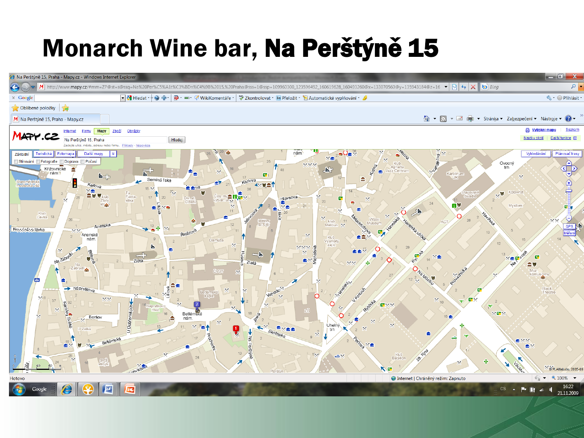## Monarch Wine bar, Na Perštýně 15

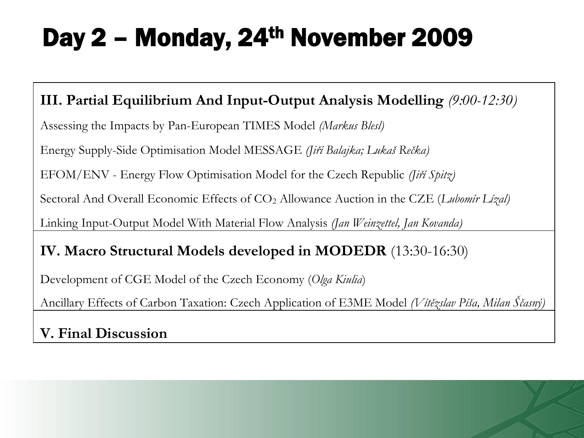## Day 2 - Monday, 24<sup>th</sup> November 2009

#### **III. Partial Equilibrium And Input-Output Analysis Modelling** *(9:00-12:30)*

Assessing the Impacts by Pan-European TIMES Model *(Markus Blesl)*

Energy Supply-Side Optimisation Model MESSAGE *(Jiří Balajka; Lukaš Rečka)*

EFOM/ENV - Energy Flow Optimisation Model for the Czech Republic *(Jiří Spitz)*

Sectoral And Overall Economic Effects of CO<sub>2</sub> Allowance Auction in the CZE (*Lubomír Lízal*)

Linking Input-Output Model With Material Flow Analysis *(Jan Weinzettel, Jan Kovanda)*

#### **IV. Macro Structural Models developed in MODEDR** (13:30-16:30)

Development of CGE Model of the Czech Economy (*Olga Kiulia*)

Ancillary Effects of Carbon Taxation: Czech Application of E3ME Model *(Vítězslav Píša, Milan Ščasný)*

**V. Final Discussion**